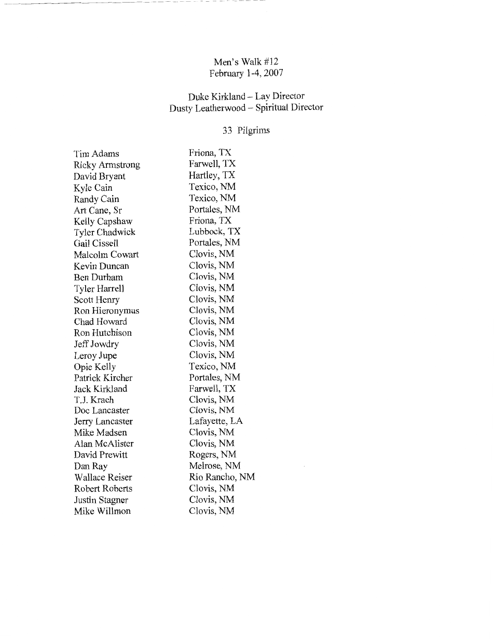# Men's Walk #12 February 1-4, 2007

#### Duke Kirkland- Lay Director Dusty Leatherwood - Spiritual Director

# 33 Pilgrims

| Tim Adams             | Friona, TX     |
|-----------------------|----------------|
| Ricky Armstrong       | Farwell, TX    |
| David Bryant          | Hartley, TX    |
| Kyle Cain             | Texico, NM     |
| Randy Cain            | Texico, NM     |
| Art Cane, Sr          | Portales, NM   |
| Kelly Capshaw         | Friona, TX     |
| Tyler Chadwick        | Lubbock, TX    |
| Gail Cissell          | Portales, NM   |
| <b>Malcolm Cowart</b> | Clovis, NM     |
| Kevin Duncan          | Clovis, NM     |
| <b>Ben Durham</b>     | Clovis, NM     |
| Tyler Harrell         | Clovis, NM     |
| Scott Henry           | Clovis, NM     |
| Ron Hieronymus        | Clovis, NM     |
| Chad Howard           | Clovis, NM     |
| Ron Hutchison         | Clovis, NM     |
| Jeff Jowdry           | Clovis, NM     |
| Leroy Jupe            | Clovis, NM     |
| Opie Kelly            | Texico, NM     |
| Patrick Kircher       | Portales, NM   |
| Jack Kirkland         | Farwell, TX    |
| T.J. Krach            | Clovis, NM     |
| Doc Lancaster         | Clovis, NM     |
| Jerry Lancaster       | Lafayette, LA  |
| Mike Madsen           | Clovis, NM     |
| Alan McAlister        | Clovis, NM     |
| David Prewitt         | Rogers, NM     |
| Dan Ray               | Melrose, NM    |
| Wallace Reiser        | Rio Rancho, NM |
| Robert Roberts        | Clovis, NM     |
| Justin Stagner        | Clovis, NM     |
| Mike Willmon          | Clovis, NM     |

~----------------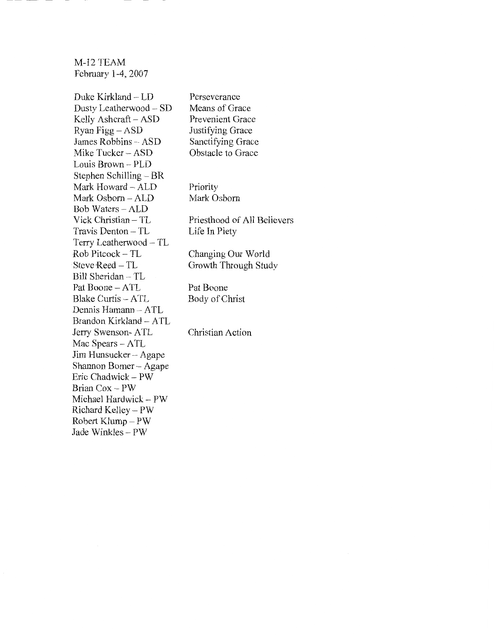M-12 TEAM February 1-4, 2007

Duke Kirkland- LD Dusty Leatherwood - SD Kelly Ashcraft- ASD Ryan Figg- ASD James Robbins- ASD Mike Tucker- ASD Louis Brown - PLD Stephen Schilling – BR Mark Howard- ALD Mark Osborn- ALD Bob Waters - ALD Vick Christian- TL Travis Denton- TL Terry Leatherwood- TL Rob Pitcock - TL Steve Reed - TL Bill Sheridan- TL Pat Boone - ATL Blake Curtis - ATL Dennis Hamann - ATL Brandon Kirkland - ATL Jerry Swenson- ATL Mac Spears - ATL Jim Hunsucker- Agape Shannon Bomer-Agape Eric Chadwick- PW Brian Cox - PW Michael Hardwick- PW Richard Kelley- PW Robert Klump - PW Jade Winkles- PW Perseverance Means of Grace Prevenient Grace Justifying Grace Sanctifying Grace Obstacle to Grace Priority Mark Osborn Priesthood of All Believers Life In Piety Changing Our World Growth Through Study Pat Boone Body of Christ Christian Action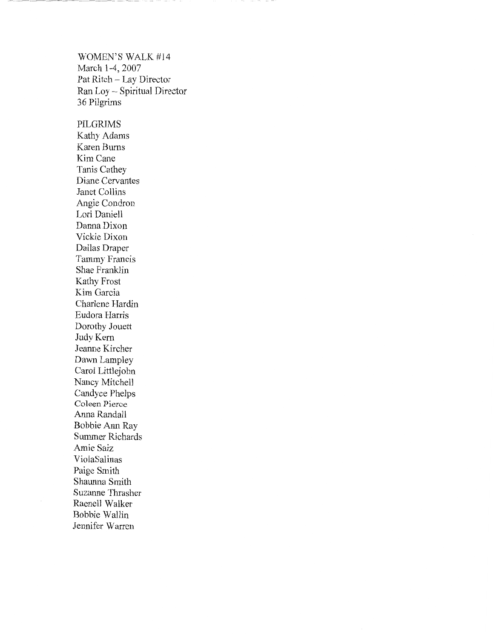WOMEN'S WALK #14 March 1-4, 2007 Pat Ritch- Lay Director Ran Loy- Spiritual Director 36 Pilgrims

#### PILGRIMS

Kathy Adams Karen Burns Kim Cane Tanis Cathey Diane Cervantes Janet Collins Angie Condron Lori Daniell Danna Dixon Vickie Dixon Dallas Draper Tammy Francis Shae Franklin Kathy Frost Kim Garcia Charlene Hardin Eudora Harris Dorothy Jouett Judy Kern Jeanne Kircher Dawn Lampley Carol Littlejohn Nancy Mitchell Candyce Phelps Coleen Pierce Anna Randall Bobbie Ann Ray Summer Richards Amie Saiz ViolaSalinas Paige Smith Shaunna Smith Suzanne Thrasher Raenell Walker Bobbie Wallin Jennifer Warren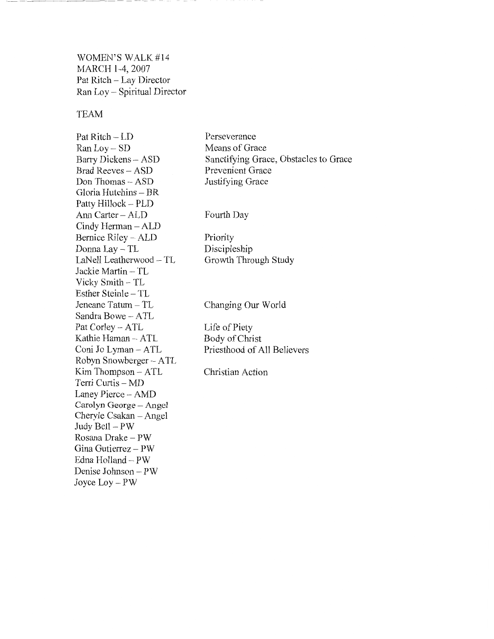WOMEN'S WALK #14 MARCH 1-4, 2007 Pat Ritch - Lay Director Ran Loy - Spiritual Director

#### TEAM

Pat Ritch - LD Ran Loy- SD Barry Dickens - ASD Brad Reeves - ASD Don Thomas- ASD Gloria Hutchins- BR Patty Hillock - PLD Ann Carter- ALD Cindy Herman- ALD Bernice Riley - ALD Donna Lay - TL LaNell Leatherwood- TL Jackie Martin- TL Vicky Smith - TL Esther Steinle - TL Jeneane Tatum- TL Sandra Bowe - ATL Pat Corley - ATL Kathie Haman - ATL Coni Jo Lyman- ATL Robyn Snowberger- ATL Kim Thompson- ATL Terri Curtis - MD Laney Pierce - AMD Carolyn George - Angel  $Cheryle Csakan - Angel$ Judy Bell  $-$  PW Rosana Drake - PW Gina Gutierrez - PW Edna Holland- PW Denise Johnson- PW Joyce Loy- PW Perseverance

Means of Grace Sanctifying Grace, Obstacles to Grace Prevenient Grace Justifying Grace

### Fourth Day

Priority Discipleship Growth Through Study

#### Changing Our World

Life of Piety Body of Christ Priesthood of All Believers

Christian Action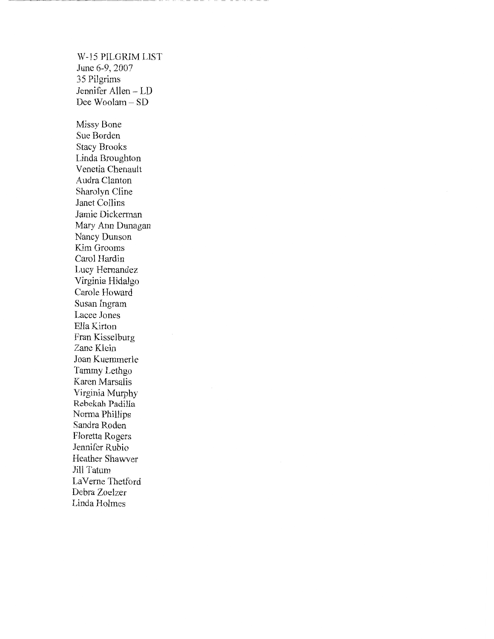W-15 PILGRIM LIST June 6-9, 2007 35 Pilgrims Jennifer Allen- LD Dee Woolam- SD

Missy Bone Sue Borden Stacy Brooks Linda Broughton Venetia Chenault Audra Clanton Sharolyn Cline Janet Collins Jamie Dickerman Mary Ann Dunagan Nancy Dunson Kim Grooms Carol Hardin Lucy Hernandez Virginia Hidalgo Carole Howard Susan Ingram Lacee Jones Ella Kirton Fran Kisselburg Zane Klein Joan Kuemmerle Tammy Lethgo Karen Marsalis Virginia Murphy Rebekah Padilla Norma Phillips Sandra Roden Floretta Rogers Jennifer Rubio Heather Shawver Jill Tatum LaVerne Thetford Debra Zoelzer Linda Holmes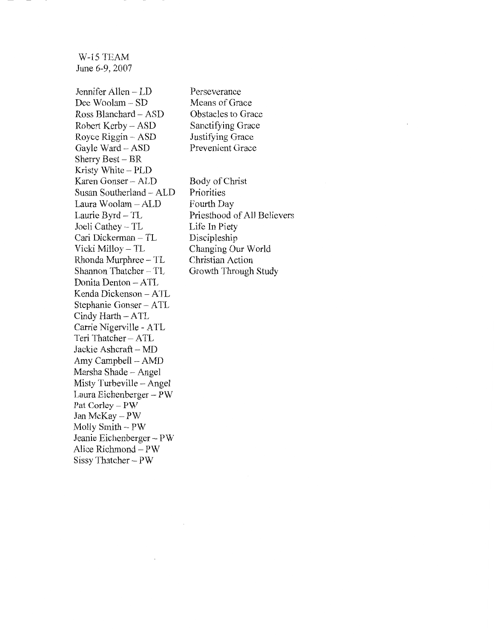#### W-15 TEAM June 6-9, 2007

Jennifer Allen- LD Dee Woolam- SD Ross Blanchard - ASD Robert Kerby- ASD Royce Riggin - ASD Gayle Ward - ASD Sherry Best- BR Kristy White - PLD Karen Gonser- ALD Susan Southerland- ALD Laura Woolam- ALD Laurie Byrd - TL Joeli Cathey- TL Cari Dickerman - TL Vicki Milloy - TL Rhonda Murphree - TL Shannon Thatcher - TL Donita Denton - ATL Kenda Dickenson - ATL Stephanie Gonser- A TL Cindy Harth - ATL Carrie Nigerville - ATL Teri Thatcher- ATL Jackie Ashcraft- MD Amy Campbell - AMD Marsha Shade- Angel Misty Turbeville- Angel Laura Eichenberger - PW Pat Corley - PW Jan McKay- PW Molly Smith- PW Jeanie Eichenberger- PW Alice Richmond - PW Sissy Thatcher - PW

Perseverance Means of Grace Obstacles to Grace Sanctifying Grace Justifying Grace Prevenient Grace

Body of Christ Priorities Fourth Day Priesthood of All Believers Life In Piety Discipleship Changing Our World Christian Action Growth Through Study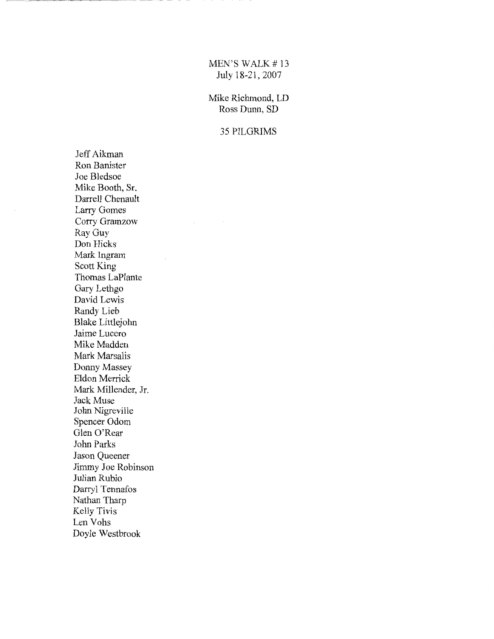# MEN'S WALK #13 July 18-21, 2007

Mike Richmond, LD Ross Dunn, SD

#### 35 PILGRIMS

Jeff Aikman Ron Banister Joe Bledsoe Mike Booth, Sr. Darrell Chenault Larry Gomes Corry Gramzow Ray Guy Don Hicks Mark Ingram Scott King Thomas LaPlante Gary Lethgo David Lewis Randy Lieb Blake Littlejohn Jaime Lucero Mike Madden Mark Marsalis Donny Massey Eldon Merrick Mark Millender, Jr. Jack Muse John Nigreville Spencer Odom Glen O'Rear John Parks Jason Queener Jimmy Joe Robinson Julian Rubio Darryl Tennafos Nathan Tharp Kelly Tivis Len Vohs Doyle Westbrook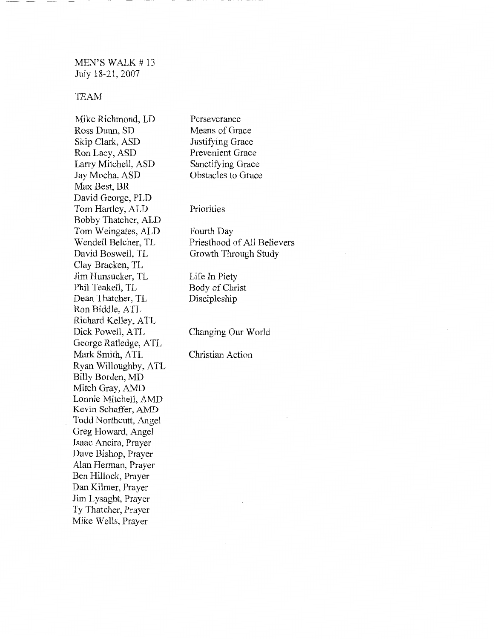MEN'S WALK #13 July 18-21, 2007

#### TEAM

Mike Richmond, LD Ross Dunn, SD Skip Clark, ASD Ron Lacy, ASD Larry Mitchell, ASD Jay Mocha, ASD Max Best, BR David George, PLD Tom Hartley, ALD Bobby Thatcher, ALD Tom Weingates, ALD Wendell Belcher, TL David Boswell, TL Clay Bracken, TL Jim Hunsucker, TL Phil Teakell, TL Dean Thatcher, TL Ron Biddle, ATL Richard Kelley, ATL Dick Powell, ATL George Ratledge, ATL Mark Smith, ATL Ryan Willoughby, ATL Billy Borden, MD Mitch Gray, AMD Lonnie Mitchell, AMD Kevin Schaffer, AMD Todd Northcutt, Angel Greg Howard, Angel Isaac Ancira, Prayer Dave Bishop, Prayer Alan Herman, Prayer Ben Hillock, Prayer Dan Kilmer, Prayer Jim Lysaght, Prayer Ty Thatcher, Prayer Mike Wells, Prayer

Perseverance Means of Grace Justifying Grace Prevenient Grace Sanctifying Grace Obstacles to Grace

Priorities

Fourth Day Priesthood of All Believers Growth Through Study

Life In Piety Body of Christ Discipleship

Changing Our World

Christian Action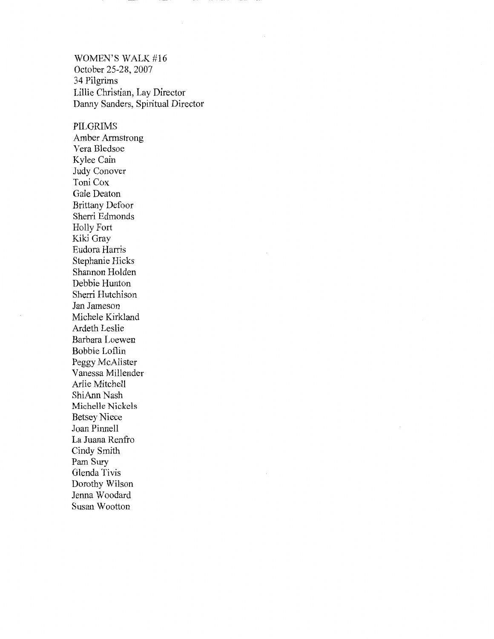WOMEN'S WALK #16 October 25-28, 2007 34 Pilgrims Lillie Christian, Lay Director Danny Sanders, Spiritual Director

## PILGRIMS

Amber Armstrong Vera Bledsoe Kylee Cain Judy Conover Toni Cox Gale Deaton Brittany Defoor Sherri Edmonds Holly Fort Kiki Gray Eudora Harris Stephanie Hicks Shannon Holden Debbie Hunton Sherri Hutchison Jan Jameson Michele Kirkland Ardeth Leslie Barbara Loewen Bobbie Loflin Peggy McAlister Vanessa Millender Arlie Mitchell ShiAnn Nash Michelle Nickels Betsey Niece Joan Pinnell La Juana Renfro Cindy Smith Pam Sury Glenda Tivis Dorothy Wilson Jenna Woodard Susan Wootton